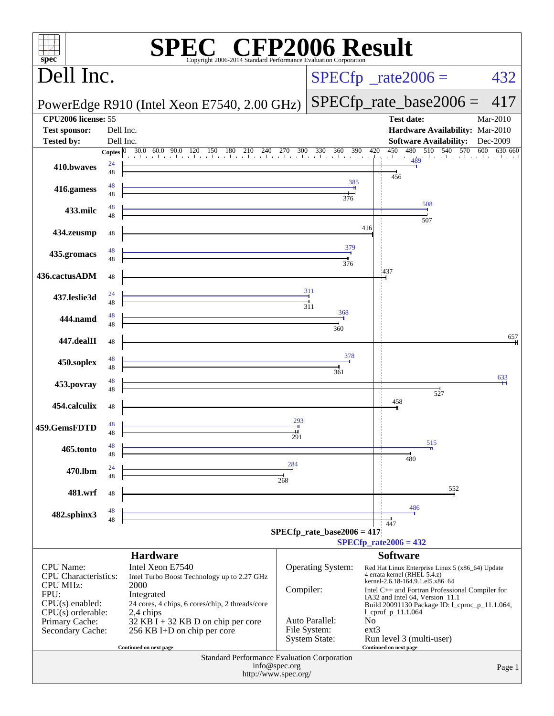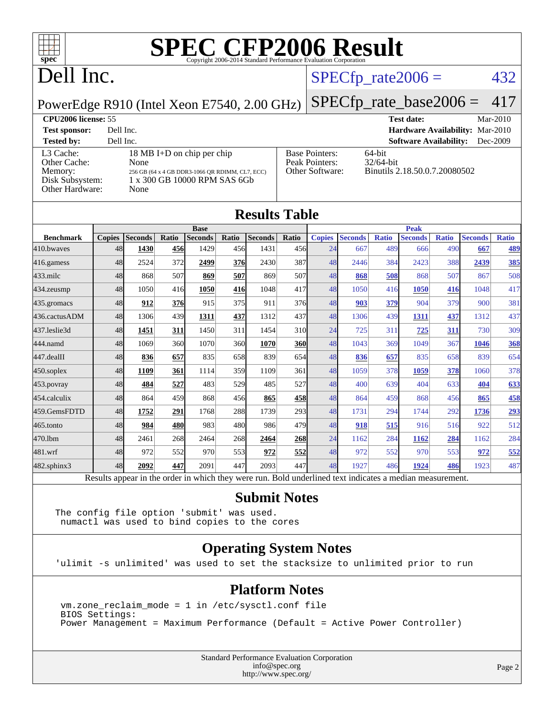

## Dell Inc.

#### $SPECTp_rate2006 = 432$

#### PowerEdge R910 (Intel Xeon E7540, 2.00 GHz)

[SPECfp\\_rate\\_base2006 =](http://www.spec.org/auto/cpu2006/Docs/result-fields.html#SPECfpratebase2006) 417 **[CPU2006 license:](http://www.spec.org/auto/cpu2006/Docs/result-fields.html#CPU2006license)** 55 **[Test date:](http://www.spec.org/auto/cpu2006/Docs/result-fields.html#Testdate)** Mar-2010 **[Test sponsor:](http://www.spec.org/auto/cpu2006/Docs/result-fields.html#Testsponsor)** Dell Inc. **[Hardware Availability:](http://www.spec.org/auto/cpu2006/Docs/result-fields.html#HardwareAvailability)** Mar-2010 **[Tested by:](http://www.spec.org/auto/cpu2006/Docs/result-fields.html#Testedby)** Dell Inc. **[Software Availability:](http://www.spec.org/auto/cpu2006/Docs/result-fields.html#SoftwareAvailability)** Dec-2009

[L3 Cache:](http://www.spec.org/auto/cpu2006/Docs/result-fields.html#L3Cache) 18 MB I+D on chip per chip<br>Other Cache: None [Other Cache:](http://www.spec.org/auto/cpu2006/Docs/result-fields.html#OtherCache) [Memory:](http://www.spec.org/auto/cpu2006/Docs/result-fields.html#Memory) 256 GB (64 x 4 GB DDR3-1066 QR RDIMM, CL7, ECC) [Disk Subsystem:](http://www.spec.org/auto/cpu2006/Docs/result-fields.html#DiskSubsystem) 1 x 300 GB 10000 RPM SAS 6Gb [Other Hardware:](http://www.spec.org/auto/cpu2006/Docs/result-fields.html#OtherHardware) None

| <b>Base Pointers:</b><br>Peak Pointers:<br>Other Software: |
|------------------------------------------------------------|
|                                                            |
|                                                            |

64-bit 32/64-bit Binutils 2.18.50.0.7.20080502

| <b>Results Table</b>                                                                                     |               |                |            |                |             |                |                 |               |                |              |                |              |                |              |
|----------------------------------------------------------------------------------------------------------|---------------|----------------|------------|----------------|-------------|----------------|-----------------|---------------|----------------|--------------|----------------|--------------|----------------|--------------|
|                                                                                                          | <b>Base</b>   |                |            |                | <b>Peak</b> |                |                 |               |                |              |                |              |                |              |
| <b>Benchmark</b>                                                                                         | <b>Copies</b> | <b>Seconds</b> | Ratio      | <b>Seconds</b> | Ratio       | <b>Seconds</b> | Ratio           | <b>Copies</b> | <b>Seconds</b> | <b>Ratio</b> | <b>Seconds</b> | <b>Ratio</b> | <b>Seconds</b> | <b>Ratio</b> |
| 410.bwayes                                                                                               | 48            | 1430           | 456        | 1429           | 456         | 1431           | 456             | 24            | 667            | 489          | 666            | 490          | 667            | 489          |
| 416.gamess                                                                                               | 48            | 2524           | 372        | 2499           | 376         | 2430           | 387             | 48            | 2446           | 384          | 2423           | 388          | 2439           | 385          |
| $433$ .milc                                                                                              | 48            | 868            | 507        | 869            | 507         | 869            | 507             | 48            | 868            | 508          | 868            | 507          | 867            | 508          |
| 434.zeusmp                                                                                               | 48            | 1050           | 416        | 1050           | 416         | 1048           | 417             | 48            | 1050           | 416          | 1050           | 416          | 1048           | 417          |
| 435.gromacs                                                                                              | 48            | 912            | 376l       | 915            | 375         | 911            | 376             | 48            | 903            | 379          | 904            | 379          | 900            | 381          |
| 436.cactusADM                                                                                            | 48            | 1306           | 439        | 1311           | 437         | 1312           | 437             | 48            | 1306           | 439          | 1311           | 437          | 1312           | 437          |
| 437.leslie3d                                                                                             | 48            | 1451           | 311        | 1450           | 311         | 1454           | 31 <sub>0</sub> | 24            | 725            | 311          | 725            | 311          | 730            | 309          |
| 444.namd                                                                                                 | 48            | 1069           | 360        | 1070           | 360         | 1070           | <b>360</b>      | 48            | 1043           | 369          | 1049           | 367          | 1046           | 368          |
| 447.dealII                                                                                               | 48            | 836            | 657        | 835            | 658         | 839            | 654             | 48            | 836            | 657          | 835            | 658          | 839            | 654          |
| $450$ .soplex                                                                                            | 48            | 1109           | 361        | 1114           | 359         | 1109           | 361             | 48            | 1059           | 378          | 1059           | 378          | 1060           | 378          |
| 453.povray                                                                                               | 48            | 484            | 527        | 483            | 529         | 485            | 527             | 48            | 400            | 639          | 404            | 633          | 404            | 633          |
| 454.calculix                                                                                             | 48            | 864            | 459        | 868            | 456         | 865            | 458             | 48            | 864            | 459          | 868            | 456          | 865            | 458          |
| 459.GemsFDTD                                                                                             | 48            | 1752           | 291        | 1768           | 288         | 1739           | 293             | 48            | 1731           | 294          | 1744           | 292          | 1736           | 293          |
| 465.tonto                                                                                                | 48            | 984            | <b>480</b> | 983            | 480         | 986            | 479             | 48            | 918            | 515          | 916            | 516          | 922            | 512          |
| 470.1bm                                                                                                  | 48            | 2461           | 268        | 2464           | 268         | 2464           | 268             | 24            | 1162           | 284          | 1162           | 284          | 1162           | 284          |
| 481.wrf                                                                                                  | 48            | 972            | 552        | 970            | 553         | 972            | 552             | 48            | 972            | 552          | 970            | 553          | 972            | 552          |
| $482$ .sphinx $3$                                                                                        | 48            | 2092           | 447        | 2091           | 447         | 2093           | 447             | 48            | 1927           | 486          | 1924           | 486          | 1923           | 487          |
| Results appear in the order in which they were run. Bold underlined text indicates a median measurement. |               |                |            |                |             |                |                 |               |                |              |                |              |                |              |

#### **[Submit Notes](http://www.spec.org/auto/cpu2006/Docs/result-fields.html#SubmitNotes)**

The config file option 'submit' was used. numactl was used to bind copies to the cores

#### **[Operating System Notes](http://www.spec.org/auto/cpu2006/Docs/result-fields.html#OperatingSystemNotes)**

'ulimit -s unlimited' was used to set the stacksize to unlimited prior to run

#### **[Platform Notes](http://www.spec.org/auto/cpu2006/Docs/result-fields.html#PlatformNotes)**

 vm.zone\_reclaim\_mode = 1 in /etc/sysctl.conf file BIOS Settings: Power Management = Maximum Performance (Default = Active Power Controller)

> Standard Performance Evaluation Corporation [info@spec.org](mailto:info@spec.org) <http://www.spec.org/>

Page 2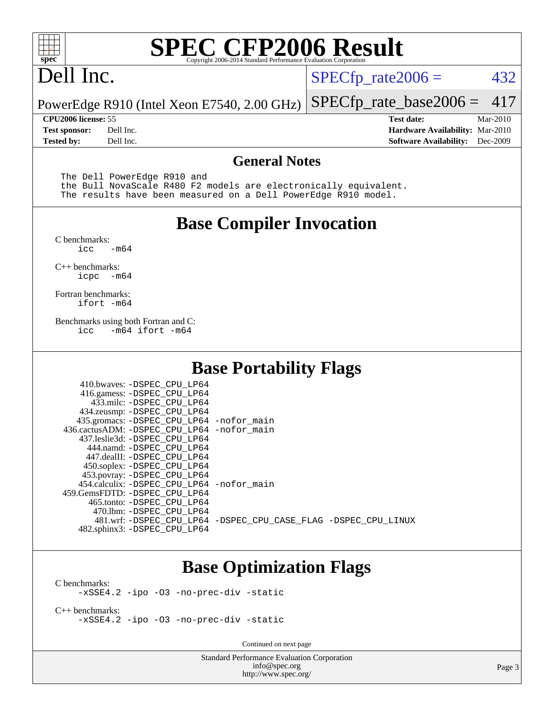

## Dell Inc.

 $SPECTp_rate2006 = 432$ 

PowerEdge R910 (Intel Xeon E7540, 2.00 GHz) [SPECfp\\_rate\\_base2006 =](http://www.spec.org/auto/cpu2006/Docs/result-fields.html#SPECfpratebase2006) 417

**[Tested by:](http://www.spec.org/auto/cpu2006/Docs/result-fields.html#Testedby)** Dell Inc. **[Software Availability:](http://www.spec.org/auto/cpu2006/Docs/result-fields.html#SoftwareAvailability)** Dec-2009

**[CPU2006 license:](http://www.spec.org/auto/cpu2006/Docs/result-fields.html#CPU2006license)** 55 **[Test date:](http://www.spec.org/auto/cpu2006/Docs/result-fields.html#Testdate)** Mar-2010 **[Test sponsor:](http://www.spec.org/auto/cpu2006/Docs/result-fields.html#Testsponsor)** Dell Inc. **[Hardware Availability:](http://www.spec.org/auto/cpu2006/Docs/result-fields.html#HardwareAvailability)** Mar-2010

#### **[General Notes](http://www.spec.org/auto/cpu2006/Docs/result-fields.html#GeneralNotes)**

The Dell PowerEdge R910 and

 the Bull NovaScale R480 F2 models are electronically equivalent. The results have been measured on a Dell PowerEdge R910 model.

#### **[Base Compiler Invocation](http://www.spec.org/auto/cpu2006/Docs/result-fields.html#BaseCompilerInvocation)**

[C benchmarks](http://www.spec.org/auto/cpu2006/Docs/result-fields.html#Cbenchmarks):  $-m64$ 

[C++ benchmarks:](http://www.spec.org/auto/cpu2006/Docs/result-fields.html#CXXbenchmarks) [icpc -m64](http://www.spec.org/cpu2006/results/res2010q3/cpu2006-20100621-11939.flags.html#user_CXXbase_intel_icpc_64bit_bedb90c1146cab66620883ef4f41a67e)

[Fortran benchmarks](http://www.spec.org/auto/cpu2006/Docs/result-fields.html#Fortranbenchmarks): [ifort -m64](http://www.spec.org/cpu2006/results/res2010q3/cpu2006-20100621-11939.flags.html#user_FCbase_intel_ifort_64bit_ee9d0fb25645d0210d97eb0527dcc06e)

[Benchmarks using both Fortran and C](http://www.spec.org/auto/cpu2006/Docs/result-fields.html#BenchmarksusingbothFortranandC): [icc -m64](http://www.spec.org/cpu2006/results/res2010q3/cpu2006-20100621-11939.flags.html#user_CC_FCbase_intel_icc_64bit_0b7121f5ab7cfabee23d88897260401c) [ifort -m64](http://www.spec.org/cpu2006/results/res2010q3/cpu2006-20100621-11939.flags.html#user_CC_FCbase_intel_ifort_64bit_ee9d0fb25645d0210d97eb0527dcc06e)

### **[Base Portability Flags](http://www.spec.org/auto/cpu2006/Docs/result-fields.html#BasePortabilityFlags)**

| 410.bwaves: -DSPEC CPU LP64<br>416.gamess: -DSPEC_CPU_LP64<br>433.milc: -DSPEC CPU LP64<br>434.zeusmp: -DSPEC_CPU_LP64<br>435.gromacs: -DSPEC_CPU_LP64 -nofor_main<br>436.cactusADM: -DSPEC CPU LP64 -nofor main<br>437.leslie3d: -DSPEC CPU LP64<br>444.namd: -DSPEC CPU LP64 |                                                                |
|--------------------------------------------------------------------------------------------------------------------------------------------------------------------------------------------------------------------------------------------------------------------------------|----------------------------------------------------------------|
| 447.dealII: -DSPEC CPU LP64                                                                                                                                                                                                                                                    |                                                                |
| 450.soplex: - DSPEC CPU LP64<br>453.povray: -DSPEC_CPU_LP64                                                                                                                                                                                                                    |                                                                |
| 454.calculix: - DSPEC_CPU_LP64 -nofor_main<br>459. GemsFDTD: - DSPEC CPU LP64                                                                                                                                                                                                  |                                                                |
| 465.tonto: - DSPEC CPU LP64                                                                                                                                                                                                                                                    |                                                                |
| 470.1bm: -DSPEC CPU LP64                                                                                                                                                                                                                                                       | 481.wrf: -DSPEC CPU_LP64 -DSPEC_CPU_CASE_FLAG -DSPEC_CPU_LINUX |
| 482.sphinx3: -DSPEC_CPU_LP64                                                                                                                                                                                                                                                   |                                                                |

### **[Base Optimization Flags](http://www.spec.org/auto/cpu2006/Docs/result-fields.html#BaseOptimizationFlags)**

[C benchmarks](http://www.spec.org/auto/cpu2006/Docs/result-fields.html#Cbenchmarks): [-xSSE4.2](http://www.spec.org/cpu2006/results/res2010q3/cpu2006-20100621-11939.flags.html#user_CCbase_f-xSSE42_f91528193cf0b216347adb8b939d4107) [-ipo](http://www.spec.org/cpu2006/results/res2010q3/cpu2006-20100621-11939.flags.html#user_CCbase_f-ipo) [-O3](http://www.spec.org/cpu2006/results/res2010q3/cpu2006-20100621-11939.flags.html#user_CCbase_f-O3) [-no-prec-div](http://www.spec.org/cpu2006/results/res2010q3/cpu2006-20100621-11939.flags.html#user_CCbase_f-no-prec-div) [-static](http://www.spec.org/cpu2006/results/res2010q3/cpu2006-20100621-11939.flags.html#user_CCbase_f-static)

[C++ benchmarks:](http://www.spec.org/auto/cpu2006/Docs/result-fields.html#CXXbenchmarks) [-xSSE4.2](http://www.spec.org/cpu2006/results/res2010q3/cpu2006-20100621-11939.flags.html#user_CXXbase_f-xSSE42_f91528193cf0b216347adb8b939d4107) [-ipo](http://www.spec.org/cpu2006/results/res2010q3/cpu2006-20100621-11939.flags.html#user_CXXbase_f-ipo) [-O3](http://www.spec.org/cpu2006/results/res2010q3/cpu2006-20100621-11939.flags.html#user_CXXbase_f-O3) [-no-prec-div](http://www.spec.org/cpu2006/results/res2010q3/cpu2006-20100621-11939.flags.html#user_CXXbase_f-no-prec-div) [-static](http://www.spec.org/cpu2006/results/res2010q3/cpu2006-20100621-11939.flags.html#user_CXXbase_f-static)

Continued on next page

Standard Performance Evaluation Corporation [info@spec.org](mailto:info@spec.org) <http://www.spec.org/>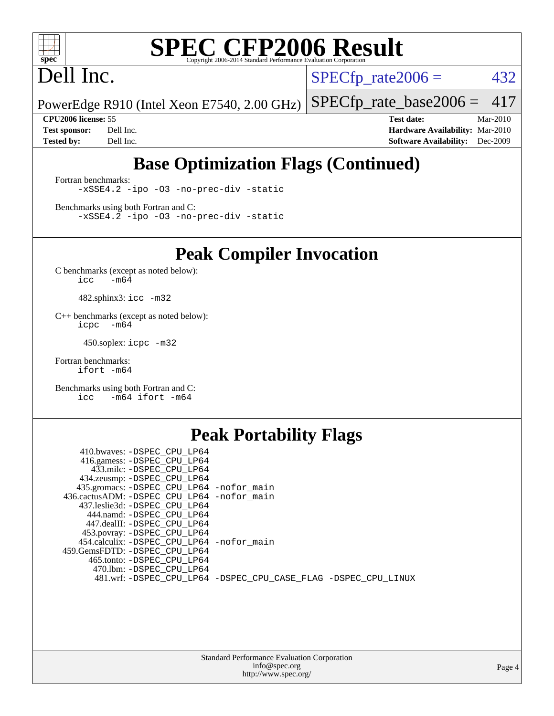

# Dell Inc.

 $SPECTp_rate2006 = 432$ 

PowerEdge R910 (Intel Xeon E7540, 2.00 GHz) [SPECfp\\_rate\\_base2006 =](http://www.spec.org/auto/cpu2006/Docs/result-fields.html#SPECfpratebase2006) 417

**[CPU2006 license:](http://www.spec.org/auto/cpu2006/Docs/result-fields.html#CPU2006license)** 55 **[Test date:](http://www.spec.org/auto/cpu2006/Docs/result-fields.html#Testdate)** Mar-2010 **[Test sponsor:](http://www.spec.org/auto/cpu2006/Docs/result-fields.html#Testsponsor)** Dell Inc. **[Hardware Availability:](http://www.spec.org/auto/cpu2006/Docs/result-fields.html#HardwareAvailability)** Mar-2010 **[Tested by:](http://www.spec.org/auto/cpu2006/Docs/result-fields.html#Testedby)** Dell Inc. **[Software Availability:](http://www.spec.org/auto/cpu2006/Docs/result-fields.html#SoftwareAvailability)** Dec-2009

### **[Base Optimization Flags \(Continued\)](http://www.spec.org/auto/cpu2006/Docs/result-fields.html#BaseOptimizationFlags)**

[Fortran benchmarks](http://www.spec.org/auto/cpu2006/Docs/result-fields.html#Fortranbenchmarks): [-xSSE4.2](http://www.spec.org/cpu2006/results/res2010q3/cpu2006-20100621-11939.flags.html#user_FCbase_f-xSSE42_f91528193cf0b216347adb8b939d4107) [-ipo](http://www.spec.org/cpu2006/results/res2010q3/cpu2006-20100621-11939.flags.html#user_FCbase_f-ipo) [-O3](http://www.spec.org/cpu2006/results/res2010q3/cpu2006-20100621-11939.flags.html#user_FCbase_f-O3) [-no-prec-div](http://www.spec.org/cpu2006/results/res2010q3/cpu2006-20100621-11939.flags.html#user_FCbase_f-no-prec-div) [-static](http://www.spec.org/cpu2006/results/res2010q3/cpu2006-20100621-11939.flags.html#user_FCbase_f-static)

[Benchmarks using both Fortran and C](http://www.spec.org/auto/cpu2006/Docs/result-fields.html#BenchmarksusingbothFortranandC): [-xSSE4.2](http://www.spec.org/cpu2006/results/res2010q3/cpu2006-20100621-11939.flags.html#user_CC_FCbase_f-xSSE42_f91528193cf0b216347adb8b939d4107) [-ipo](http://www.spec.org/cpu2006/results/res2010q3/cpu2006-20100621-11939.flags.html#user_CC_FCbase_f-ipo) [-O3](http://www.spec.org/cpu2006/results/res2010q3/cpu2006-20100621-11939.flags.html#user_CC_FCbase_f-O3) [-no-prec-div](http://www.spec.org/cpu2006/results/res2010q3/cpu2006-20100621-11939.flags.html#user_CC_FCbase_f-no-prec-div) [-static](http://www.spec.org/cpu2006/results/res2010q3/cpu2006-20100621-11939.flags.html#user_CC_FCbase_f-static)

**[Peak Compiler Invocation](http://www.spec.org/auto/cpu2006/Docs/result-fields.html#PeakCompilerInvocation)**

[C benchmarks \(except as noted below\)](http://www.spec.org/auto/cpu2006/Docs/result-fields.html#Cbenchmarksexceptasnotedbelow):  $\text{icc}$  -m64

482.sphinx3: [icc -m32](http://www.spec.org/cpu2006/results/res2010q3/cpu2006-20100621-11939.flags.html#user_peakCCLD482_sphinx3_intel_icc_32bit_a6a621f8d50482236b970c6ac5f55f93)

[C++ benchmarks \(except as noted below\):](http://www.spec.org/auto/cpu2006/Docs/result-fields.html#CXXbenchmarksexceptasnotedbelow) [icpc -m64](http://www.spec.org/cpu2006/results/res2010q3/cpu2006-20100621-11939.flags.html#user_CXXpeak_intel_icpc_64bit_bedb90c1146cab66620883ef4f41a67e)

450.soplex: [icpc -m32](http://www.spec.org/cpu2006/results/res2010q3/cpu2006-20100621-11939.flags.html#user_peakCXXLD450_soplex_intel_icpc_32bit_4e5a5ef1a53fd332b3c49e69c3330699)

[Fortran benchmarks](http://www.spec.org/auto/cpu2006/Docs/result-fields.html#Fortranbenchmarks): [ifort -m64](http://www.spec.org/cpu2006/results/res2010q3/cpu2006-20100621-11939.flags.html#user_FCpeak_intel_ifort_64bit_ee9d0fb25645d0210d97eb0527dcc06e)

[Benchmarks using both Fortran and C](http://www.spec.org/auto/cpu2006/Docs/result-fields.html#BenchmarksusingbothFortranandC): [icc -m64](http://www.spec.org/cpu2006/results/res2010q3/cpu2006-20100621-11939.flags.html#user_CC_FCpeak_intel_icc_64bit_0b7121f5ab7cfabee23d88897260401c) [ifort -m64](http://www.spec.org/cpu2006/results/res2010q3/cpu2006-20100621-11939.flags.html#user_CC_FCpeak_intel_ifort_64bit_ee9d0fb25645d0210d97eb0527dcc06e)

#### **[Peak Portability Flags](http://www.spec.org/auto/cpu2006/Docs/result-fields.html#PeakPortabilityFlags)**

| 410.bwaves: -DSPEC CPU LP64                                    |  |
|----------------------------------------------------------------|--|
| 416.gamess: -DSPEC_CPU_LP64                                    |  |
| 433.milc: -DSPEC CPU LP64                                      |  |
| 434.zeusmp: -DSPEC_CPU_LP64                                    |  |
| 435.gromacs: -DSPEC_CPU_LP64 -nofor_main                       |  |
| 436.cactusADM: -DSPEC CPU LP64 -nofor main                     |  |
| 437.leslie3d: -DSPEC CPU LP64                                  |  |
| 444.namd: -DSPEC CPU LP64                                      |  |
| 447.dealII: -DSPEC CPU LP64                                    |  |
| 453.povray: -DSPEC_CPU_LP64                                    |  |
| 454.calculix: -DSPEC CPU LP64 -nofor main                      |  |
| 459.GemsFDTD: -DSPEC CPU LP64                                  |  |
| 465.tonto: -DSPEC CPU LP64                                     |  |
| 470.1bm: -DSPEC CPU LP64                                       |  |
| 481.wrf: -DSPEC_CPU_LP64 -DSPEC_CPU_CASE_FLAG -DSPEC_CPU_LINUX |  |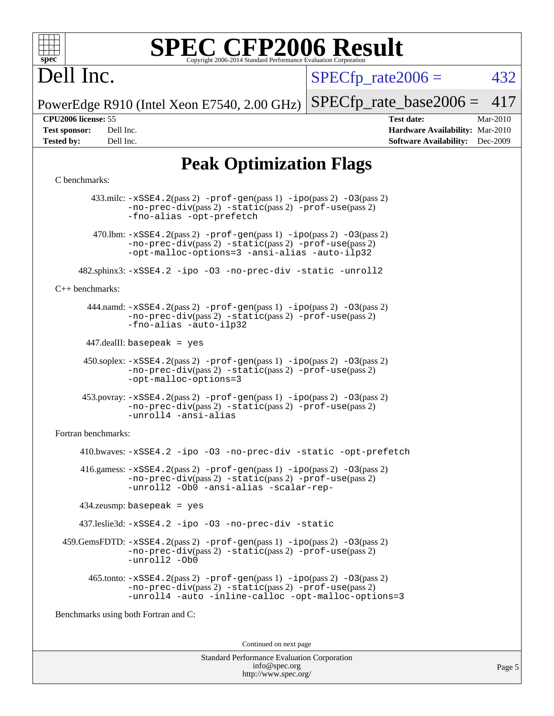

# Dell Inc.

 $SPECTp\_rate2006 = 432$ 

PowerEdge R910 (Intel Xeon E7540, 2.00 GHz) [SPECfp\\_rate\\_base2006 =](http://www.spec.org/auto/cpu2006/Docs/result-fields.html#SPECfpratebase2006) 417

**[CPU2006 license:](http://www.spec.org/auto/cpu2006/Docs/result-fields.html#CPU2006license)** 55 **[Test date:](http://www.spec.org/auto/cpu2006/Docs/result-fields.html#Testdate)** Mar-2010 **[Test sponsor:](http://www.spec.org/auto/cpu2006/Docs/result-fields.html#Testsponsor)** Dell Inc. **[Hardware Availability:](http://www.spec.org/auto/cpu2006/Docs/result-fields.html#HardwareAvailability)** Mar-2010 **[Tested by:](http://www.spec.org/auto/cpu2006/Docs/result-fields.html#Testedby)** Dell Inc. **[Software Availability:](http://www.spec.org/auto/cpu2006/Docs/result-fields.html#SoftwareAvailability)** Dec-2009

### **[Peak Optimization Flags](http://www.spec.org/auto/cpu2006/Docs/result-fields.html#PeakOptimizationFlags)**

#### [C benchmarks](http://www.spec.org/auto/cpu2006/Docs/result-fields.html#Cbenchmarks):

 433.milc: [-xSSE4.2](http://www.spec.org/cpu2006/results/res2010q3/cpu2006-20100621-11939.flags.html#user_peakPASS2_CFLAGSPASS2_LDFLAGS433_milc_f-xSSE42_f91528193cf0b216347adb8b939d4107)(pass 2) [-prof-gen](http://www.spec.org/cpu2006/results/res2010q3/cpu2006-20100621-11939.flags.html#user_peakPASS1_CFLAGSPASS1_LDFLAGS433_milc_prof_gen_e43856698f6ca7b7e442dfd80e94a8fc)(pass 1) [-ipo](http://www.spec.org/cpu2006/results/res2010q3/cpu2006-20100621-11939.flags.html#user_peakPASS2_CFLAGSPASS2_LDFLAGS433_milc_f-ipo)(pass 2) [-O3](http://www.spec.org/cpu2006/results/res2010q3/cpu2006-20100621-11939.flags.html#user_peakPASS2_CFLAGSPASS2_LDFLAGS433_milc_f-O3)(pass 2) [-no-prec-div](http://www.spec.org/cpu2006/results/res2010q3/cpu2006-20100621-11939.flags.html#user_peakPASS2_CFLAGSPASS2_LDFLAGS433_milc_f-no-prec-div)(pass 2) [-static](http://www.spec.org/cpu2006/results/res2010q3/cpu2006-20100621-11939.flags.html#user_peakPASS2_CFLAGSPASS2_LDFLAGS433_milc_f-static)(pass 2) [-prof-use](http://www.spec.org/cpu2006/results/res2010q3/cpu2006-20100621-11939.flags.html#user_peakPASS2_CFLAGSPASS2_LDFLAGS433_milc_prof_use_bccf7792157ff70d64e32fe3e1250b55)(pass 2) [-fno-alias](http://www.spec.org/cpu2006/results/res2010q3/cpu2006-20100621-11939.flags.html#user_peakOPTIMIZE433_milc_f-no-alias_694e77f6c5a51e658e82ccff53a9e63a) [-opt-prefetch](http://www.spec.org/cpu2006/results/res2010q3/cpu2006-20100621-11939.flags.html#user_peakOPTIMIZE433_milc_f-opt-prefetch) 470.1bm:  $-xSSE4$ . 2(pass 2)  $-prof-gen(pass 1) -ipo(pass 2) -O3(pass 2)$  $-prof-gen(pass 1) -ipo(pass 2) -O3(pass 2)$  $-prof-gen(pass 1) -ipo(pass 2) -O3(pass 2)$  $-prof-gen(pass 1) -ipo(pass 2) -O3(pass 2)$  $-prof-gen(pass 1) -ipo(pass 2) -O3(pass 2)$  $-prof-gen(pass 1) -ipo(pass 2) -O3(pass 2)$ [-no-prec-div](http://www.spec.org/cpu2006/results/res2010q3/cpu2006-20100621-11939.flags.html#user_peakPASS2_CFLAGSPASS2_LDFLAGS470_lbm_f-no-prec-div)(pass 2) [-static](http://www.spec.org/cpu2006/results/res2010q3/cpu2006-20100621-11939.flags.html#user_peakPASS2_CFLAGSPASS2_LDFLAGS470_lbm_f-static)(pass 2) [-prof-use](http://www.spec.org/cpu2006/results/res2010q3/cpu2006-20100621-11939.flags.html#user_peakPASS2_CFLAGSPASS2_LDFLAGS470_lbm_prof_use_bccf7792157ff70d64e32fe3e1250b55)(pass 2) [-opt-malloc-options=3](http://www.spec.org/cpu2006/results/res2010q3/cpu2006-20100621-11939.flags.html#user_peakOPTIMIZE470_lbm_f-opt-malloc-options_13ab9b803cf986b4ee62f0a5998c2238) [-ansi-alias](http://www.spec.org/cpu2006/results/res2010q3/cpu2006-20100621-11939.flags.html#user_peakOPTIMIZE470_lbm_f-ansi-alias) [-auto-ilp32](http://www.spec.org/cpu2006/results/res2010q3/cpu2006-20100621-11939.flags.html#user_peakCOPTIMIZE470_lbm_f-auto-ilp32) 482.sphinx3: [-xSSE4.2](http://www.spec.org/cpu2006/results/res2010q3/cpu2006-20100621-11939.flags.html#user_peakOPTIMIZE482_sphinx3_f-xSSE42_f91528193cf0b216347adb8b939d4107) [-ipo](http://www.spec.org/cpu2006/results/res2010q3/cpu2006-20100621-11939.flags.html#user_peakOPTIMIZE482_sphinx3_f-ipo) [-O3](http://www.spec.org/cpu2006/results/res2010q3/cpu2006-20100621-11939.flags.html#user_peakOPTIMIZE482_sphinx3_f-O3) [-no-prec-div](http://www.spec.org/cpu2006/results/res2010q3/cpu2006-20100621-11939.flags.html#user_peakOPTIMIZE482_sphinx3_f-no-prec-div) [-static](http://www.spec.org/cpu2006/results/res2010q3/cpu2006-20100621-11939.flags.html#user_peakOPTIMIZE482_sphinx3_f-static) [-unroll2](http://www.spec.org/cpu2006/results/res2010q3/cpu2006-20100621-11939.flags.html#user_peakCOPTIMIZE482_sphinx3_f-unroll_784dae83bebfb236979b41d2422d7ec2) [C++ benchmarks:](http://www.spec.org/auto/cpu2006/Docs/result-fields.html#CXXbenchmarks) 444.namd: [-xSSE4.2](http://www.spec.org/cpu2006/results/res2010q3/cpu2006-20100621-11939.flags.html#user_peakPASS2_CXXFLAGSPASS2_LDFLAGS444_namd_f-xSSE42_f91528193cf0b216347adb8b939d4107)(pass 2) [-prof-gen](http://www.spec.org/cpu2006/results/res2010q3/cpu2006-20100621-11939.flags.html#user_peakPASS1_CXXFLAGSPASS1_LDFLAGS444_namd_prof_gen_e43856698f6ca7b7e442dfd80e94a8fc)(pass 1) [-ipo](http://www.spec.org/cpu2006/results/res2010q3/cpu2006-20100621-11939.flags.html#user_peakPASS2_CXXFLAGSPASS2_LDFLAGS444_namd_f-ipo)(pass 2) [-O3](http://www.spec.org/cpu2006/results/res2010q3/cpu2006-20100621-11939.flags.html#user_peakPASS2_CXXFLAGSPASS2_LDFLAGS444_namd_f-O3)(pass 2) [-no-prec-div](http://www.spec.org/cpu2006/results/res2010q3/cpu2006-20100621-11939.flags.html#user_peakPASS2_CXXFLAGSPASS2_LDFLAGS444_namd_f-no-prec-div)(pass 2) [-static](http://www.spec.org/cpu2006/results/res2010q3/cpu2006-20100621-11939.flags.html#user_peakPASS2_CXXFLAGSPASS2_LDFLAGS444_namd_f-static)(pass 2) [-prof-use](http://www.spec.org/cpu2006/results/res2010q3/cpu2006-20100621-11939.flags.html#user_peakPASS2_CXXFLAGSPASS2_LDFLAGS444_namd_prof_use_bccf7792157ff70d64e32fe3e1250b55)(pass 2) [-fno-alias](http://www.spec.org/cpu2006/results/res2010q3/cpu2006-20100621-11939.flags.html#user_peakCXXOPTIMIZE444_namd_f-no-alias_694e77f6c5a51e658e82ccff53a9e63a) [-auto-ilp32](http://www.spec.org/cpu2006/results/res2010q3/cpu2006-20100621-11939.flags.html#user_peakCXXOPTIMIZE444_namd_f-auto-ilp32) 447.dealII: basepeak = yes 450.soplex: [-xSSE4.2](http://www.spec.org/cpu2006/results/res2010q3/cpu2006-20100621-11939.flags.html#user_peakPASS2_CXXFLAGSPASS2_LDFLAGS450_soplex_f-xSSE42_f91528193cf0b216347adb8b939d4107)(pass 2) [-prof-gen](http://www.spec.org/cpu2006/results/res2010q3/cpu2006-20100621-11939.flags.html#user_peakPASS1_CXXFLAGSPASS1_LDFLAGS450_soplex_prof_gen_e43856698f6ca7b7e442dfd80e94a8fc)(pass 1) [-ipo](http://www.spec.org/cpu2006/results/res2010q3/cpu2006-20100621-11939.flags.html#user_peakPASS2_CXXFLAGSPASS2_LDFLAGS450_soplex_f-ipo)(pass 2) [-O3](http://www.spec.org/cpu2006/results/res2010q3/cpu2006-20100621-11939.flags.html#user_peakPASS2_CXXFLAGSPASS2_LDFLAGS450_soplex_f-O3)(pass 2) [-no-prec-div](http://www.spec.org/cpu2006/results/res2010q3/cpu2006-20100621-11939.flags.html#user_peakPASS2_CXXFLAGSPASS2_LDFLAGS450_soplex_f-no-prec-div)(pass 2) [-static](http://www.spec.org/cpu2006/results/res2010q3/cpu2006-20100621-11939.flags.html#user_peakPASS2_CXXFLAGSPASS2_LDFLAGS450_soplex_f-static)(pass 2) [-prof-use](http://www.spec.org/cpu2006/results/res2010q3/cpu2006-20100621-11939.flags.html#user_peakPASS2_CXXFLAGSPASS2_LDFLAGS450_soplex_prof_use_bccf7792157ff70d64e32fe3e1250b55)(pass 2) [-opt-malloc-options=3](http://www.spec.org/cpu2006/results/res2010q3/cpu2006-20100621-11939.flags.html#user_peakOPTIMIZE450_soplex_f-opt-malloc-options_13ab9b803cf986b4ee62f0a5998c2238) 453.povray: [-xSSE4.2](http://www.spec.org/cpu2006/results/res2010q3/cpu2006-20100621-11939.flags.html#user_peakPASS2_CXXFLAGSPASS2_LDFLAGS453_povray_f-xSSE42_f91528193cf0b216347adb8b939d4107)(pass 2) [-prof-gen](http://www.spec.org/cpu2006/results/res2010q3/cpu2006-20100621-11939.flags.html#user_peakPASS1_CXXFLAGSPASS1_LDFLAGS453_povray_prof_gen_e43856698f6ca7b7e442dfd80e94a8fc)(pass 1) [-ipo](http://www.spec.org/cpu2006/results/res2010q3/cpu2006-20100621-11939.flags.html#user_peakPASS2_CXXFLAGSPASS2_LDFLAGS453_povray_f-ipo)(pass 2) [-O3](http://www.spec.org/cpu2006/results/res2010q3/cpu2006-20100621-11939.flags.html#user_peakPASS2_CXXFLAGSPASS2_LDFLAGS453_povray_f-O3)(pass 2) [-no-prec-div](http://www.spec.org/cpu2006/results/res2010q3/cpu2006-20100621-11939.flags.html#user_peakPASS2_CXXFLAGSPASS2_LDFLAGS453_povray_f-no-prec-div)(pass 2) [-static](http://www.spec.org/cpu2006/results/res2010q3/cpu2006-20100621-11939.flags.html#user_peakPASS2_CXXFLAGSPASS2_LDFLAGS453_povray_f-static)(pass 2) [-prof-use](http://www.spec.org/cpu2006/results/res2010q3/cpu2006-20100621-11939.flags.html#user_peakPASS2_CXXFLAGSPASS2_LDFLAGS453_povray_prof_use_bccf7792157ff70d64e32fe3e1250b55)(pass 2) [-unroll4](http://www.spec.org/cpu2006/results/res2010q3/cpu2006-20100621-11939.flags.html#user_peakCXXOPTIMIZE453_povray_f-unroll_4e5e4ed65b7fd20bdcd365bec371b81f) [-ansi-alias](http://www.spec.org/cpu2006/results/res2010q3/cpu2006-20100621-11939.flags.html#user_peakCXXOPTIMIZE453_povray_f-ansi-alias) [Fortran benchmarks](http://www.spec.org/auto/cpu2006/Docs/result-fields.html#Fortranbenchmarks): 410.bwaves: [-xSSE4.2](http://www.spec.org/cpu2006/results/res2010q3/cpu2006-20100621-11939.flags.html#user_peakOPTIMIZE410_bwaves_f-xSSE42_f91528193cf0b216347adb8b939d4107) [-ipo](http://www.spec.org/cpu2006/results/res2010q3/cpu2006-20100621-11939.flags.html#user_peakOPTIMIZE410_bwaves_f-ipo) [-O3](http://www.spec.org/cpu2006/results/res2010q3/cpu2006-20100621-11939.flags.html#user_peakOPTIMIZE410_bwaves_f-O3) [-no-prec-div](http://www.spec.org/cpu2006/results/res2010q3/cpu2006-20100621-11939.flags.html#user_peakOPTIMIZE410_bwaves_f-no-prec-div) [-static](http://www.spec.org/cpu2006/results/res2010q3/cpu2006-20100621-11939.flags.html#user_peakOPTIMIZE410_bwaves_f-static) [-opt-prefetch](http://www.spec.org/cpu2006/results/res2010q3/cpu2006-20100621-11939.flags.html#user_peakOPTIMIZE410_bwaves_f-opt-prefetch)  $416$ .gamess:  $-xSSE4$ .  $2(pass 2)$  -prof-qen(pass 1) [-ipo](http://www.spec.org/cpu2006/results/res2010q3/cpu2006-20100621-11939.flags.html#user_peakPASS2_FFLAGSPASS2_LDFLAGS416_gamess_f-ipo)(pass 2) -03(pass 2) [-no-prec-div](http://www.spec.org/cpu2006/results/res2010q3/cpu2006-20100621-11939.flags.html#user_peakPASS2_FFLAGSPASS2_LDFLAGS416_gamess_f-no-prec-div)(pass 2) [-static](http://www.spec.org/cpu2006/results/res2010q3/cpu2006-20100621-11939.flags.html#user_peakPASS2_FFLAGSPASS2_LDFLAGS416_gamess_f-static)(pass 2) [-prof-use](http://www.spec.org/cpu2006/results/res2010q3/cpu2006-20100621-11939.flags.html#user_peakPASS2_FFLAGSPASS2_LDFLAGS416_gamess_prof_use_bccf7792157ff70d64e32fe3e1250b55)(pass 2) [-unroll2](http://www.spec.org/cpu2006/results/res2010q3/cpu2006-20100621-11939.flags.html#user_peakOPTIMIZE416_gamess_f-unroll_784dae83bebfb236979b41d2422d7ec2) [-Ob0](http://www.spec.org/cpu2006/results/res2010q3/cpu2006-20100621-11939.flags.html#user_peakOPTIMIZE416_gamess_f-Ob_n_fbe6f6428adb7d4b74b1e99bb2444c2d) [-ansi-alias](http://www.spec.org/cpu2006/results/res2010q3/cpu2006-20100621-11939.flags.html#user_peakOPTIMIZE416_gamess_f-ansi-alias) [-scalar-rep-](http://www.spec.org/cpu2006/results/res2010q3/cpu2006-20100621-11939.flags.html#user_peakOPTIMIZE416_gamess_f-disablescalarrep_abbcad04450fb118e4809c81d83c8a1d) 434.zeusmp: basepeak = yes 437.leslie3d: [-xSSE4.2](http://www.spec.org/cpu2006/results/res2010q3/cpu2006-20100621-11939.flags.html#user_peakOPTIMIZE437_leslie3d_f-xSSE42_f91528193cf0b216347adb8b939d4107) [-ipo](http://www.spec.org/cpu2006/results/res2010q3/cpu2006-20100621-11939.flags.html#user_peakOPTIMIZE437_leslie3d_f-ipo) [-O3](http://www.spec.org/cpu2006/results/res2010q3/cpu2006-20100621-11939.flags.html#user_peakOPTIMIZE437_leslie3d_f-O3) [-no-prec-div](http://www.spec.org/cpu2006/results/res2010q3/cpu2006-20100621-11939.flags.html#user_peakOPTIMIZE437_leslie3d_f-no-prec-div) [-static](http://www.spec.org/cpu2006/results/res2010q3/cpu2006-20100621-11939.flags.html#user_peakOPTIMIZE437_leslie3d_f-static) 459.GemsFDTD: [-xSSE4.2](http://www.spec.org/cpu2006/results/res2010q3/cpu2006-20100621-11939.flags.html#user_peakPASS2_FFLAGSPASS2_LDFLAGS459_GemsFDTD_f-xSSE42_f91528193cf0b216347adb8b939d4107)(pass 2) [-prof-gen](http://www.spec.org/cpu2006/results/res2010q3/cpu2006-20100621-11939.flags.html#user_peakPASS1_FFLAGSPASS1_LDFLAGS459_GemsFDTD_prof_gen_e43856698f6ca7b7e442dfd80e94a8fc)(pass 1) [-ipo](http://www.spec.org/cpu2006/results/res2010q3/cpu2006-20100621-11939.flags.html#user_peakPASS2_FFLAGSPASS2_LDFLAGS459_GemsFDTD_f-ipo)(pass 2) [-O3](http://www.spec.org/cpu2006/results/res2010q3/cpu2006-20100621-11939.flags.html#user_peakPASS2_FFLAGSPASS2_LDFLAGS459_GemsFDTD_f-O3)(pass 2) [-no-prec-div](http://www.spec.org/cpu2006/results/res2010q3/cpu2006-20100621-11939.flags.html#user_peakPASS2_FFLAGSPASS2_LDFLAGS459_GemsFDTD_f-no-prec-div)(pass 2) [-static](http://www.spec.org/cpu2006/results/res2010q3/cpu2006-20100621-11939.flags.html#user_peakPASS2_FFLAGSPASS2_LDFLAGS459_GemsFDTD_f-static)(pass 2) [-prof-use](http://www.spec.org/cpu2006/results/res2010q3/cpu2006-20100621-11939.flags.html#user_peakPASS2_FFLAGSPASS2_LDFLAGS459_GemsFDTD_prof_use_bccf7792157ff70d64e32fe3e1250b55)(pass 2) [-unroll2](http://www.spec.org/cpu2006/results/res2010q3/cpu2006-20100621-11939.flags.html#user_peakOPTIMIZE459_GemsFDTD_f-unroll_784dae83bebfb236979b41d2422d7ec2) [-Ob0](http://www.spec.org/cpu2006/results/res2010q3/cpu2006-20100621-11939.flags.html#user_peakOPTIMIZE459_GemsFDTD_f-Ob_n_fbe6f6428adb7d4b74b1e99bb2444c2d)  $465$ .tonto:  $-xSSE4$ .  $2(pass 2)$  [-prof-gen](http://www.spec.org/cpu2006/results/res2010q3/cpu2006-20100621-11939.flags.html#user_peakPASS1_FFLAGSPASS1_LDFLAGS465_tonto_prof_gen_e43856698f6ca7b7e442dfd80e94a8fc)(pass 1) [-ipo](http://www.spec.org/cpu2006/results/res2010q3/cpu2006-20100621-11939.flags.html#user_peakPASS2_FFLAGSPASS2_LDFLAGS465_tonto_f-ipo)(pass 2) [-O3](http://www.spec.org/cpu2006/results/res2010q3/cpu2006-20100621-11939.flags.html#user_peakPASS2_FFLAGSPASS2_LDFLAGS465_tonto_f-O3)(pass 2) [-no-prec-div](http://www.spec.org/cpu2006/results/res2010q3/cpu2006-20100621-11939.flags.html#user_peakPASS2_FFLAGSPASS2_LDFLAGS465_tonto_f-no-prec-div)(pass 2) [-static](http://www.spec.org/cpu2006/results/res2010q3/cpu2006-20100621-11939.flags.html#user_peakPASS2_FFLAGSPASS2_LDFLAGS465_tonto_f-static)(pass 2) [-prof-use](http://www.spec.org/cpu2006/results/res2010q3/cpu2006-20100621-11939.flags.html#user_peakPASS2_FFLAGSPASS2_LDFLAGS465_tonto_prof_use_bccf7792157ff70d64e32fe3e1250b55)(pass 2) [-unroll4](http://www.spec.org/cpu2006/results/res2010q3/cpu2006-20100621-11939.flags.html#user_peakOPTIMIZE465_tonto_f-unroll_4e5e4ed65b7fd20bdcd365bec371b81f) [-auto](http://www.spec.org/cpu2006/results/res2010q3/cpu2006-20100621-11939.flags.html#user_peakOPTIMIZE465_tonto_f-auto) [-inline-calloc](http://www.spec.org/cpu2006/results/res2010q3/cpu2006-20100621-11939.flags.html#user_peakOPTIMIZE465_tonto_f-inline-calloc) [-opt-malloc-options=3](http://www.spec.org/cpu2006/results/res2010q3/cpu2006-20100621-11939.flags.html#user_peakOPTIMIZE465_tonto_f-opt-malloc-options_13ab9b803cf986b4ee62f0a5998c2238) [Benchmarks using both Fortran and C](http://www.spec.org/auto/cpu2006/Docs/result-fields.html#BenchmarksusingbothFortranandC): Continued on next page

> Standard Performance Evaluation Corporation [info@spec.org](mailto:info@spec.org) <http://www.spec.org/>